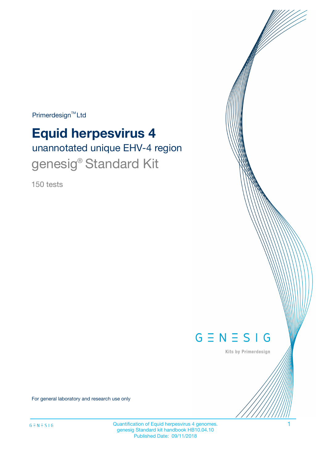Primerdesign<sup>™</sup>Ltd

# **Equid herpesvirus 4**

unannotated unique EHV-4 region genesig<sup>®</sup> Standard Kit

150 tests



Kits by Primerdesign

For general laboratory and research use only

Quantification of Equid herpesvirus 4 genomes. 1 genesig Standard kit handbook HB10.04.10 Published Date: 09/11/2018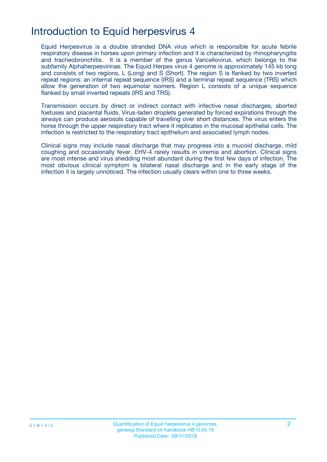# Introduction to Equid herpesvirus 4

Equid Herpesvirus is a double stranded DNA virus which is responsible for acute febrile respiratory disease in horses upon primary infection and it is characterized by rhinopharyngitis and tracheobronchitis. It is a member of the genus Varicellovirus, which belongs to the subfamily Alphaherpesvirinae. The Equid Herpes virus 4 genome is approximately 145 kb long and consists of two regions, L (Long) and S (Short). The region S is flanked by two inverted repeat regions: an internal repeat sequence (IRS) and a terminal repeat sequence (TRS) which allow the generation of two equimolar isomers. Region L consists of a unique sequence flanked by small inverted repeats (IRS and TRS).

Transmission occurs by direct or indirect contact with infective nasal discharges, aborted foetuses and placental fluids. Virus-laden droplets generated by forced expirations through the airways can produce aerosols capable of travelling over short distances. The virus enters the horse through the upper respiratory tract where it replicates in the mucosal epithelial cells. The infection is restricted to the respiratory tract epithelium and associated lymph nodes.

Clinical signs may include nasal discharge that may progress into a mucoid discharge, mild coughing and occasionally fever. EHV-4 rarely results in viremia and abortion. Clinical signs are most intense and virus shedding most abundant during the first few days of infection. The most obvious clinical symptom is bilateral nasal discharge and in the early stage of the infection it is largely unnoticed. The infection usually clears within one to three weeks.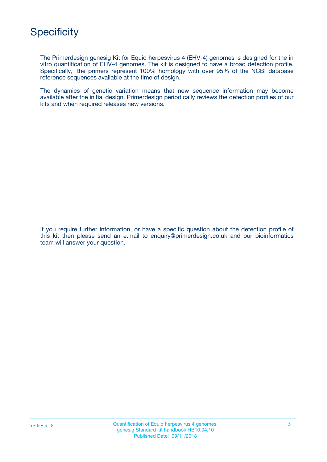

The Primerdesign genesig Kit for Equid herpesvirus 4 (EHV-4) genomes is designed for the in vitro quantification of EHV-4 genomes. The kit is designed to have a broad detection profile. Specifically, the primers represent 100% homology with over 95% of the NCBI database reference sequences available at the time of design.

The dynamics of genetic variation means that new sequence information may become available after the initial design. Primerdesign periodically reviews the detection profiles of our kits and when required releases new versions.

If you require further information, or have a specific question about the detection profile of this kit then please send an e.mail to enquiry@primerdesign.co.uk and our bioinformatics team will answer your question.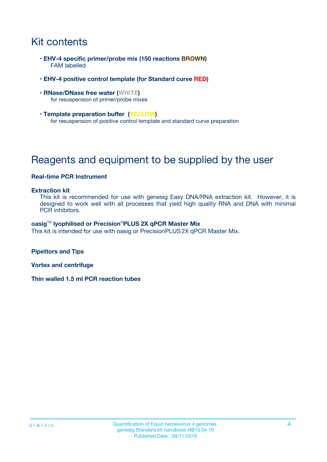# Kit contents

- **EHV-4 specific primer/probe mix (150 reactions BROWN)** FAM labelled
- **EHV-4 positive control template (for Standard curve RED)**
- **RNase/DNase free water (WHITE)** for resuspension of primer/probe mixes
- **Template preparation buffer (YELLOW)** for resuspension of positive control template and standard curve preparation

# Reagents and equipment to be supplied by the user

#### **Real-time PCR Instrument**

#### **Extraction kit**

This kit is recommended for use with genesig Easy DNA/RNA extraction kit. However, it is designed to work well with all processes that yield high quality RNA and DNA with minimal PCR inhibitors.

#### **oasig**TM **lyophilised or Precision**®**PLUS 2X qPCR Master Mix**

This kit is intended for use with oasig or PrecisionPLUS2X qPCR Master Mix.

**Pipettors and Tips**

**Vortex and centrifuge**

**Thin walled 1.5 ml PCR reaction tubes**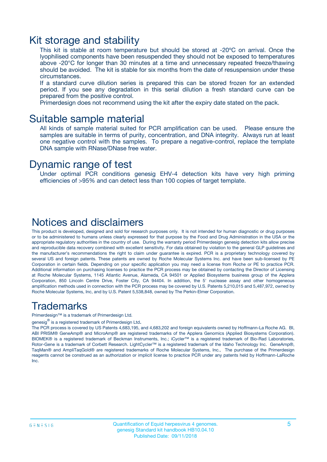### Kit storage and stability

This kit is stable at room temperature but should be stored at -20ºC on arrival. Once the lyophilised components have been resuspended they should not be exposed to temperatures above -20°C for longer than 30 minutes at a time and unnecessary repeated freeze/thawing should be avoided. The kit is stable for six months from the date of resuspension under these circumstances.

If a standard curve dilution series is prepared this can be stored frozen for an extended period. If you see any degradation in this serial dilution a fresh standard curve can be prepared from the positive control.

Primerdesign does not recommend using the kit after the expiry date stated on the pack.

### Suitable sample material

All kinds of sample material suited for PCR amplification can be used. Please ensure the samples are suitable in terms of purity, concentration, and DNA integrity. Always run at least one negative control with the samples. To prepare a negative-control, replace the template DNA sample with RNase/DNase free water.

### Dynamic range of test

Under optimal PCR conditions genesig EHV-4 detection kits have very high priming efficiencies of >95% and can detect less than 100 copies of target template.

### Notices and disclaimers

This product is developed, designed and sold for research purposes only. It is not intended for human diagnostic or drug purposes or to be administered to humans unless clearly expressed for that purpose by the Food and Drug Administration in the USA or the appropriate regulatory authorities in the country of use. During the warranty period Primerdesign genesig detection kits allow precise and reproducible data recovery combined with excellent sensitivity. For data obtained by violation to the general GLP guidelines and the manufacturer's recommendations the right to claim under guarantee is expired. PCR is a proprietary technology covered by several US and foreign patents. These patents are owned by Roche Molecular Systems Inc. and have been sub-licensed by PE Corporation in certain fields. Depending on your specific application you may need a license from Roche or PE to practice PCR. Additional information on purchasing licenses to practice the PCR process may be obtained by contacting the Director of Licensing at Roche Molecular Systems, 1145 Atlantic Avenue, Alameda, CA 94501 or Applied Biosystems business group of the Applera Corporation, 850 Lincoln Centre Drive, Foster City, CA 94404. In addition, the 5' nuclease assay and other homogeneous amplification methods used in connection with the PCR process may be covered by U.S. Patents 5,210,015 and 5,487,972, owned by Roche Molecular Systems, Inc, and by U.S. Patent 5,538,848, owned by The Perkin-Elmer Corporation.

### Trademarks

Primerdesign™ is a trademark of Primerdesign Ltd.

genesig $^\circledR$  is a registered trademark of Primerdesign Ltd.

The PCR process is covered by US Patents 4,683,195, and 4,683,202 and foreign equivalents owned by Hoffmann-La Roche AG. BI, ABI PRISM® GeneAmp® and MicroAmp® are registered trademarks of the Applera Genomics (Applied Biosystems Corporation). BIOMEK® is a registered trademark of Beckman Instruments, Inc.; iCycler™ is a registered trademark of Bio-Rad Laboratories, Rotor-Gene is a trademark of Corbett Research. LightCycler™ is a registered trademark of the Idaho Technology Inc. GeneAmp®, TaqMan® and AmpliTaqGold® are registered trademarks of Roche Molecular Systems, Inc., The purchase of the Primerdesign reagents cannot be construed as an authorization or implicit license to practice PCR under any patents held by Hoffmann-LaRoche Inc.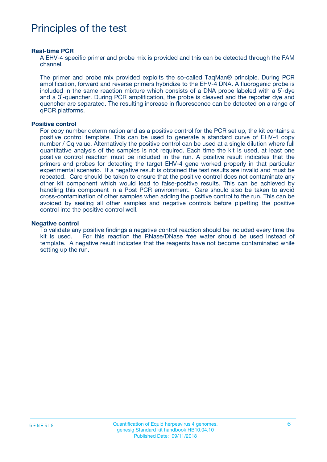# Principles of the test

#### **Real-time PCR**

A EHV-4 specific primer and probe mix is provided and this can be detected through the FAM channel.

The primer and probe mix provided exploits the so-called TaqMan® principle. During PCR amplification, forward and reverse primers hybridize to the EHV-4 DNA. A fluorogenic probe is included in the same reaction mixture which consists of a DNA probe labeled with a 5`-dye and a 3`-quencher. During PCR amplification, the probe is cleaved and the reporter dye and quencher are separated. The resulting increase in fluorescence can be detected on a range of qPCR platforms.

#### **Positive control**

For copy number determination and as a positive control for the PCR set up, the kit contains a positive control template. This can be used to generate a standard curve of EHV-4 copy number / Cq value. Alternatively the positive control can be used at a single dilution where full quantitative analysis of the samples is not required. Each time the kit is used, at least one positive control reaction must be included in the run. A positive result indicates that the primers and probes for detecting the target EHV-4 gene worked properly in that particular experimental scenario. If a negative result is obtained the test results are invalid and must be repeated. Care should be taken to ensure that the positive control does not contaminate any other kit component which would lead to false-positive results. This can be achieved by handling this component in a Post PCR environment. Care should also be taken to avoid cross-contamination of other samples when adding the positive control to the run. This can be avoided by sealing all other samples and negative controls before pipetting the positive control into the positive control well.

#### **Negative control**

To validate any positive findings a negative control reaction should be included every time the kit is used. For this reaction the RNase/DNase free water should be used instead of template. A negative result indicates that the reagents have not become contaminated while setting up the run.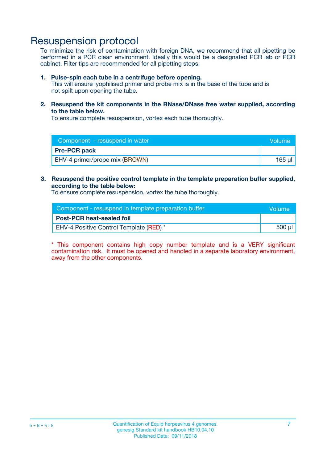### Resuspension protocol

To minimize the risk of contamination with foreign DNA, we recommend that all pipetting be performed in a PCR clean environment. Ideally this would be a designated PCR lab or PCR cabinet. Filter tips are recommended for all pipetting steps.

#### **1. Pulse-spin each tube in a centrifuge before opening.**

This will ensure lyophilised primer and probe mix is in the base of the tube and is not spilt upon opening the tube.

**2. Resuspend the kit components in the RNase/DNase free water supplied, according to the table below.**

To ensure complete resuspension, vortex each tube thoroughly.

| Component - resuspend in water<br>Volume |        |
|------------------------------------------|--------|
| <b>Pre-PCR pack</b>                      |        |
| EHV-4 primer/probe mix (BROWN)           | 165 ul |

### **3. Resuspend the positive control template in the template preparation buffer supplied, according to the table below:**

To ensure complete resuspension, vortex the tube thoroughly.

| Component - resuspend in template preparation buffer |        |  |
|------------------------------------------------------|--------|--|
| <b>Post-PCR heat-sealed foil</b>                     |        |  |
| <b>EHV-4 Positive Control Template (RED)</b> *       | 500 µl |  |

\* This component contains high copy number template and is a VERY significant contamination risk. It must be opened and handled in a separate laboratory environment, away from the other components.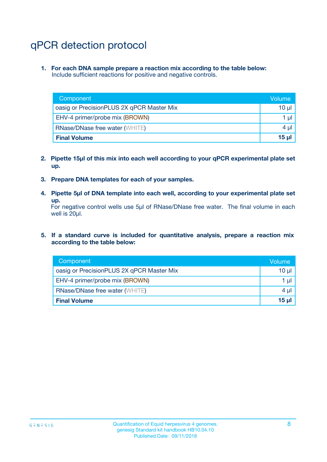# qPCR detection protocol

**1. For each DNA sample prepare a reaction mix according to the table below:** Include sufficient reactions for positive and negative controls.

| Component                                 | Volume           |
|-------------------------------------------|------------------|
| oasig or PrecisionPLUS 2X qPCR Master Mix | 10 $\mu$         |
| EHV-4 primer/probe mix (BROWN)            | 1 $\mu$          |
| <b>RNase/DNase free water (WHITE)</b>     | $4 \mu$          |
| <b>Final Volume</b>                       | 15 <sub>ul</sub> |

- **2. Pipette 15µl of this mix into each well according to your qPCR experimental plate set up.**
- **3. Prepare DNA templates for each of your samples.**
- **4. Pipette 5µl of DNA template into each well, according to your experimental plate set up.**

For negative control wells use 5µl of RNase/DNase free water. The final volume in each well is 20µl.

**5. If a standard curve is included for quantitative analysis, prepare a reaction mix according to the table below:**

| Component                                 | Volume  |
|-------------------------------------------|---------|
| oasig or PrecisionPLUS 2X qPCR Master Mix | 10 µl   |
| EHV-4 primer/probe mix (BROWN)            | 1 µI    |
| <b>RNase/DNase free water (WHITE)</b>     | $4 \mu$ |
| <b>Final Volume</b>                       | 15 µl   |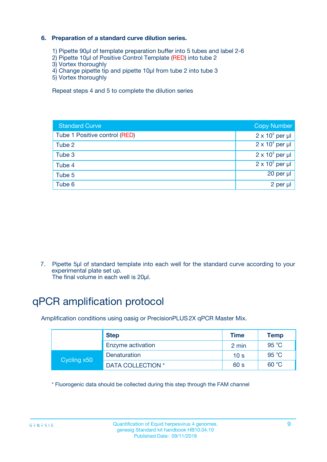### **6. Preparation of a standard curve dilution series.**

- 1) Pipette 90µl of template preparation buffer into 5 tubes and label 2-6
- 2) Pipette 10µl of Positive Control Template (RED) into tube 2
- 3) Vortex thoroughly
- 4) Change pipette tip and pipette 10µl from tube 2 into tube 3
- 5) Vortex thoroughly

Repeat steps 4 and 5 to complete the dilution series

| <b>Standard Curve</b>         | <b>Copy Number</b>     |
|-------------------------------|------------------------|
| Tube 1 Positive control (RED) | $2 \times 10^5$ per µl |
| Tube 2                        | $2 \times 10^4$ per µl |
| Tube 3                        | $2 \times 10^3$ per µl |
| Tube 4                        | $2 \times 10^2$ per µl |
| Tube 5                        | 20 per µl              |
| Tube 6                        | 2 per ul               |

7. Pipette 5µl of standard template into each well for the standard curve according to your experimental plate set up.

The final volume in each well is 20µl.

# qPCR amplification protocol

Amplification conditions using oasig or PrecisionPLUS2X qPCR Master Mix.

|             | <b>Step</b>       | <b>Time</b>     | Temp           |
|-------------|-------------------|-----------------|----------------|
|             | Enzyme activation | 2 min           | $95^{\circ}$ C |
| Cycling x50 | Denaturation      | 10 <sub>s</sub> | 95 $°C$        |
|             | DATA COLLECTION * | 60 s            | 60 °C          |

\* Fluorogenic data should be collected during this step through the FAM channel